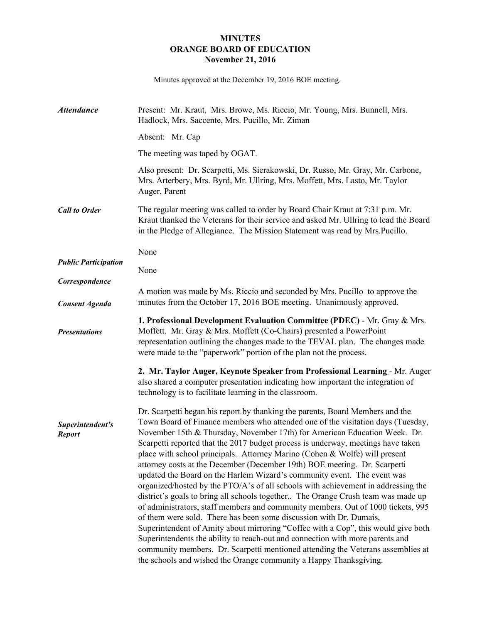## **MINUTES ORANGE BOARD OF EDUCATION November 21, 2016**

Minutes approved at the December 19, 2016 BOE meeting.

| <b>Attendance</b>                 | Present: Mr. Kraut, Mrs. Browe, Ms. Riccio, Mr. Young, Mrs. Bunnell, Mrs.<br>Hadlock, Mrs. Saccente, Mrs. Pucillo, Mr. Ziman                                                                                                                                                                                                                                                                                                                                                                                                                                                                                                                                                                                                                                                                                                                                                                                                                                                                                                                                                                                                                                                                                                             |  |  |
|-----------------------------------|------------------------------------------------------------------------------------------------------------------------------------------------------------------------------------------------------------------------------------------------------------------------------------------------------------------------------------------------------------------------------------------------------------------------------------------------------------------------------------------------------------------------------------------------------------------------------------------------------------------------------------------------------------------------------------------------------------------------------------------------------------------------------------------------------------------------------------------------------------------------------------------------------------------------------------------------------------------------------------------------------------------------------------------------------------------------------------------------------------------------------------------------------------------------------------------------------------------------------------------|--|--|
|                                   | Absent: Mr. Cap                                                                                                                                                                                                                                                                                                                                                                                                                                                                                                                                                                                                                                                                                                                                                                                                                                                                                                                                                                                                                                                                                                                                                                                                                          |  |  |
|                                   | The meeting was taped by OGAT.                                                                                                                                                                                                                                                                                                                                                                                                                                                                                                                                                                                                                                                                                                                                                                                                                                                                                                                                                                                                                                                                                                                                                                                                           |  |  |
|                                   | Also present: Dr. Scarpetti, Ms. Sierakowski, Dr. Russo, Mr. Gray, Mr. Carbone,<br>Mrs. Arterbery, Mrs. Byrd, Mr. Ullring, Mrs. Moffett, Mrs. Lasto, Mr. Taylor<br>Auger, Parent                                                                                                                                                                                                                                                                                                                                                                                                                                                                                                                                                                                                                                                                                                                                                                                                                                                                                                                                                                                                                                                         |  |  |
| <b>Call to Order</b>              | The regular meeting was called to order by Board Chair Kraut at 7:31 p.m. Mr.<br>Kraut thanked the Veterans for their service and asked Mr. Ullring to lead the Board<br>in the Pledge of Allegiance. The Mission Statement was read by Mrs. Pucillo.                                                                                                                                                                                                                                                                                                                                                                                                                                                                                                                                                                                                                                                                                                                                                                                                                                                                                                                                                                                    |  |  |
|                                   | None                                                                                                                                                                                                                                                                                                                                                                                                                                                                                                                                                                                                                                                                                                                                                                                                                                                                                                                                                                                                                                                                                                                                                                                                                                     |  |  |
| <b>Public Participation</b>       | None                                                                                                                                                                                                                                                                                                                                                                                                                                                                                                                                                                                                                                                                                                                                                                                                                                                                                                                                                                                                                                                                                                                                                                                                                                     |  |  |
| Correspondence                    | A motion was made by Ms. Riccio and seconded by Mrs. Pucillo to approve the                                                                                                                                                                                                                                                                                                                                                                                                                                                                                                                                                                                                                                                                                                                                                                                                                                                                                                                                                                                                                                                                                                                                                              |  |  |
| <b>Consent Agenda</b>             | minutes from the October 17, 2016 BOE meeting. Unanimously approved.                                                                                                                                                                                                                                                                                                                                                                                                                                                                                                                                                                                                                                                                                                                                                                                                                                                                                                                                                                                                                                                                                                                                                                     |  |  |
| <b>Presentations</b>              | 1. Professional Development Evaluation Committee (PDEC) - Mr. Gray & Mrs.<br>Moffett. Mr. Gray & Mrs. Moffett (Co-Chairs) presented a PowerPoint<br>representation outlining the changes made to the TEVAL plan. The changes made<br>were made to the "paperwork" portion of the plan not the process.                                                                                                                                                                                                                                                                                                                                                                                                                                                                                                                                                                                                                                                                                                                                                                                                                                                                                                                                   |  |  |
|                                   | 2. Mr. Taylor Auger, Keynote Speaker from Professional Learning - Mr. Auger<br>also shared a computer presentation indicating how important the integration of<br>technology is to facilitate learning in the classroom.                                                                                                                                                                                                                                                                                                                                                                                                                                                                                                                                                                                                                                                                                                                                                                                                                                                                                                                                                                                                                 |  |  |
| Superintendent's<br><b>Report</b> | Dr. Scarpetti began his report by thanking the parents, Board Members and the<br>Town Board of Finance members who attended one of the visitation days (Tuesday,<br>November 15th & Thursday, November 17th) for American Education Week. Dr.<br>Scarpetti reported that the 2017 budget process is underway, meetings have taken<br>place with school principals. Attorney Marino (Cohen & Wolfe) will present<br>attorney costs at the December (December 19th) BOE meeting. Dr. Scarpetti<br>updated the Board on the Harlem Wizard's community event. The event was<br>organized/hosted by the PTO/A's of all schools with achievement in addressing the<br>district's goals to bring all schools together The Orange Crush team was made up<br>of administrators, staff members and community members. Out of 1000 tickets, 995<br>of them were sold. There has been some discussion with Dr. Dumais,<br>Superintendent of Amity about mirroring "Coffee with a Cop", this would give both<br>Superintendents the ability to reach-out and connection with more parents and<br>community members. Dr. Scarpetti mentioned attending the Veterans assemblies at<br>the schools and wished the Orange community a Happy Thanksgiving. |  |  |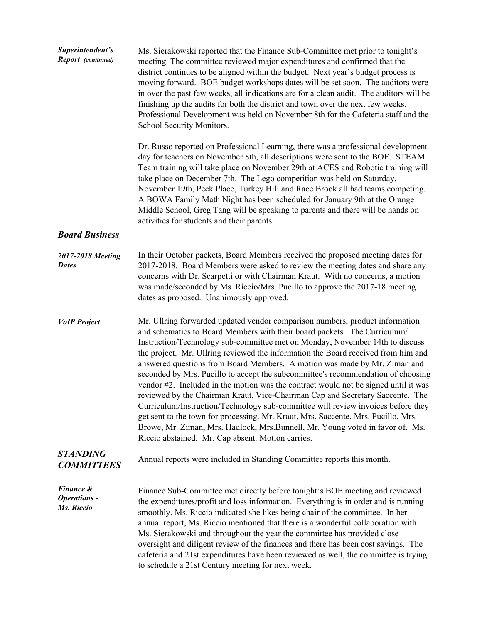| Superintendent's<br>Report (continued)         | Ms. Sierakowski reported that the Finance Sub-Committee met prior to tonight's<br>meeting. The committee reviewed major expenditures and confirmed that the<br>district continues to be aligned within the budget. Next year's budget process is<br>moving forward. BOE budget workshops dates will be set soon. The auditors were<br>in over the past few weeks, all indications are for a clean audit. The auditors will be<br>finishing up the audits for both the district and town over the next few weeks.<br>Professional Development was held on November 8th for the Cafeteria staff and the<br>School Security Monitors.                                                                                                                                                                                                                                                                                                                                                      |
|------------------------------------------------|-----------------------------------------------------------------------------------------------------------------------------------------------------------------------------------------------------------------------------------------------------------------------------------------------------------------------------------------------------------------------------------------------------------------------------------------------------------------------------------------------------------------------------------------------------------------------------------------------------------------------------------------------------------------------------------------------------------------------------------------------------------------------------------------------------------------------------------------------------------------------------------------------------------------------------------------------------------------------------------------|
|                                                | Dr. Russo reported on Professional Learning, there was a professional development<br>day for teachers on November 8th, all descriptions were sent to the BOE. STEAM<br>Team training will take place on November 29th at ACES and Robotic training will<br>take place on December 7th. The Lego competition was held on Saturday,<br>November 19th, Peck Place, Turkey Hill and Race Brook all had teams competing.<br>A BOWA Family Math Night has been scheduled for January 9th at the Orange<br>Middle School, Greg Tang will be speaking to parents and there will be hands on<br>activities for students and their parents.                                                                                                                                                                                                                                                                                                                                                       |
| <b>Board Business</b>                          |                                                                                                                                                                                                                                                                                                                                                                                                                                                                                                                                                                                                                                                                                                                                                                                                                                                                                                                                                                                         |
| 2017-2018 Meeting<br><b>Dates</b>              | In their October packets, Board Members received the proposed meeting dates for<br>2017-2018. Board Members were asked to review the meeting dates and share any<br>concerns with Dr. Scarpetti or with Chairman Kraut. With no concerns, a motion<br>was made/seconded by Ms. Riccio/Mrs. Pucillo to approve the 2017-18 meeting<br>dates as proposed. Unanimously approved.                                                                                                                                                                                                                                                                                                                                                                                                                                                                                                                                                                                                           |
| <b>VoIP</b> Project                            | Mr. Ullring forwarded updated vendor comparison numbers, product information<br>and schematics to Board Members with their board packets. The Curriculum/<br>Instruction/Technology sub-committee met on Monday, November 14th to discuss<br>the project. Mr. Ullring reviewed the information the Board received from him and<br>answered questions from Board Members. A motion was made by Mr. Ziman and<br>seconded by Mrs. Pucillo to accept the subcommittee's recommendation of choosing<br>vendor #2. Included in the motion was the contract would not be signed until it was<br>reviewed by the Chairman Kraut, Vice-Chairman Cap and Secretary Saccente. The<br>Curriculum/Instruction/Technology sub-committee will review invoices before they<br>get sent to the town for processing. Mr. Kraut, Mrs. Saccente, Mrs. Pucillo, Mrs.<br>Browe, Mr. Ziman, Mrs. Hadlock, Mrs. Bunnell, Mr. Young voted in favor of. Ms.<br>Riccio abstained. Mr. Cap absent. Motion carries. |
| <b>STANDING</b><br><b>COMMITTEES</b>           | Annual reports were included in Standing Committee reports this month.                                                                                                                                                                                                                                                                                                                                                                                                                                                                                                                                                                                                                                                                                                                                                                                                                                                                                                                  |
| Finance &<br><b>Operations -</b><br>Ms. Riccio | Finance Sub-Committee met directly before tonight's BOE meeting and reviewed<br>the expenditures/profit and loss information. Everything is in order and is running<br>smoothly. Ms. Riccio indicated she likes being chair of the committee. In her<br>annual report, Ms. Riccio mentioned that there is a wonderful collaboration with<br>Ms. Sierakowski and throughout the year the committee has provided close<br>oversight and diligent review of the finances and there has been cost savings. The<br>cafeteria and 21st expenditures have been reviewed as well, the committee is trying<br>to schedule a 21st Century meeting for next week.                                                                                                                                                                                                                                                                                                                                  |